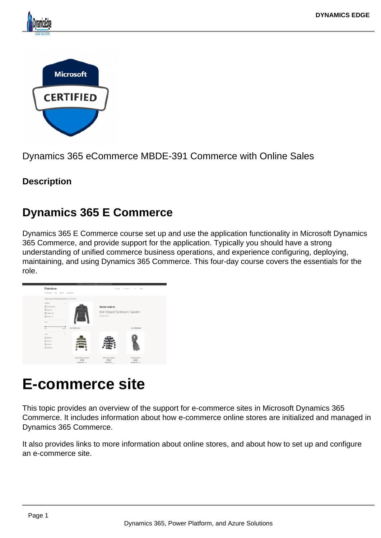#### Dynamics 365 eCommerce MBDE-391 Commerce with Online Sales

**Description** 

### Dynamics 365 E Commerce

Dynamics 365 E Commerce course set up and use the application functionality in Microsoft Dynamics 365 Commerce, and provide support for the application. Typically you should have a strong understanding of unified commerce business operations, and experience configuring, deploying, maintaining, and using Dynamics 365 Commerce. This four-day course covers the essentials for the role.

# E-commerce site

This topic provides an overview of the support for e-commerce sites in Microsoft Dynamics 365 Commerce. It includes information about how e-commerce online stores are initialized and managed in Dynamics 365 Commerce.

It also provides links to more information about online stores, and about how to set up and configure an e-commerce site.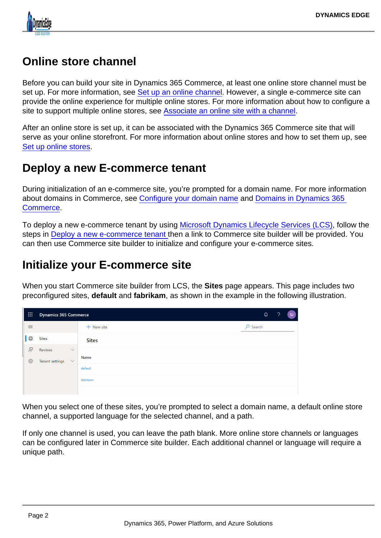## Online store channel

Before you can build your site in Dynamics 365 Commerce, at least one online store channel must be set up. For more information, see [Set up an online channel](https://docs.microsoft.com/en-us/dynamics365/commerce/channel-setup-online). However, a single e-commerce site can provide the online experience for multiple online stores. For more information about how to configure a site to support multiple online stores, see [Associate an online site with a channel.](https://docs.microsoft.com/en-us/dynamics365/commerce/associate-site-online-store)

After an online store is set up, it can be associated with the Dynamics 365 Commerce site that will serve as your online storefront. For more information about online stores and how to set them up, see [Set up online stores](https://docs.microsoft.com/en-us/dynamics365/unified-operations/retail/online-stores).

### Deploy a new E-commerce tenant

During initialization of an e-commerce site, you're prompted for a domain name. For more information about domains in Commerce, see [Configure your domain name](https://docs.microsoft.com/en-us/dynamics365/commerce/configure-your-domain-name) and [Domains in Dynamics 365](https://docs.microsoft.com/en-us/dynamics365/commerce/domains-commerce)  [Commerce.](https://docs.microsoft.com/en-us/dynamics365/commerce/domains-commerce)

To deploy a new e-commerce tenant by using [Microsoft Dynamics Lifecycle Services \(LCS\),](https://docs.microsoft.com/en-us/dynamics365/unified-operations/dev-itpro/lifecycle-services/lcs-user-guide) follow the steps in [Deploy a new e-commerce tenant](https://docs.microsoft.com/en-us/dynamics365/commerce/deploy-ecommerce-site) then a link to Commerce site builder will be provided. You can then use Commerce site builder to initialize and configure your e-commerce sites.

## Initialize your E-commerce site

When you start Commerce site builder from LCS, the Sites page appears. This page includes two preconfigured sites, default and fabrikam , as shown in the example in the following illustration.

When you select one of these sites, you're prompted to select a domain name, a default online store channel, a supported language for the selected channel, and a path.

If only one channel is used, you can leave the path blank. More online store channels or languages can be configured later in Commerce site builder. Each additional channel or language will require a unique path.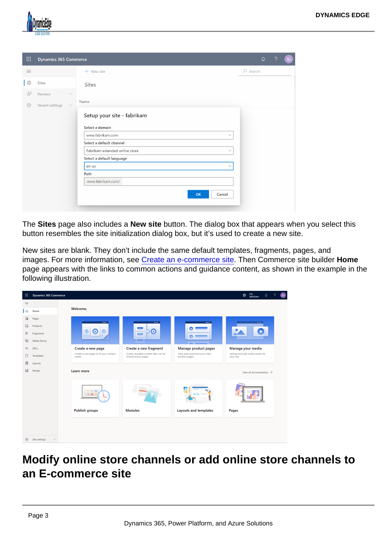The Sites page also includes a New site button. The dialog box that appears when you select this button resembles the site initialization dialog box, but it's used to create a new site.

New sites are blank. They don't include the same default templates, fragments, pages, and images. For more information, see [Create an e-commerce site.](https://docs.microsoft.com/en-us/dynamics365/commerce/create-ecommerce-site) Then Commerce site builder Home page appears with the links to common actions and guidance content, as shown in the example in the following illustration.

Modify online store channels or add online store channels to an E-commerce site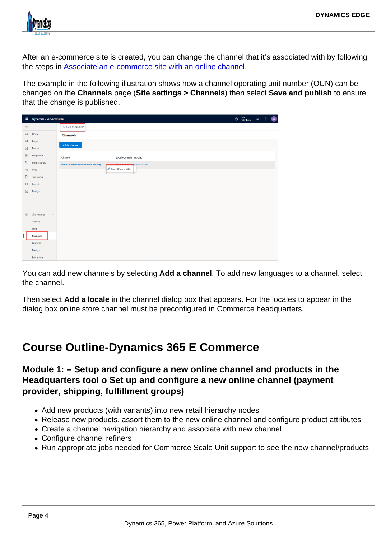After an e-commerce site is created, you can change the channel that it's associated with by following the steps in [Associate an e-commerce site with an online channel](https://docs.microsoft.com/en-us/dynamics365/commerce/associate-site-online-store).

The example in the following illustration shows how a channel operating unit number (OUN) can be changed on the Channels page (Site settings > Channels ) then select Save and publish to ensure that the change is published.

You can add new channels by selecting Add a channel . To add new languages to a channel, select the channel.

Then select Add a locale in the channel dialog box that appears. For the locales to appear in the dialog box online store channel must be preconfigured in Commerce headquarters.

### Course Outline-Dynamics 365 E Commerce

Module 1: – Setup and configure a new online channel and products in the Headquarters tool o Set up and configure a new online channel (payment provider, shipping, fulfillment groups)

- Add new products (with variants) into new retail hierarchy nodes
- Release new products, assort them to the new online channel and configure product attributes
- Create a channel navigation hierarchy and associate with new channel
- Configure channel refiners
- Run appropriate jobs needed for Commerce Scale Unit support to see the new channel/products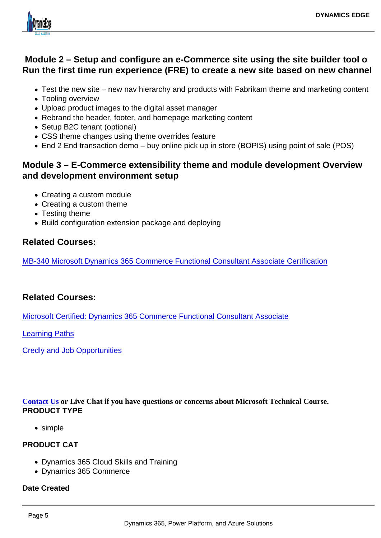Module 2 – Setup and configure an e-Commerce site using the site builder tool o Run the first time run experience (FRE) to create a new site based on new channel

- Test the new site new nav hierarchy and products with Fabrikam theme and marketing content
- Tooling overview
- Upload product images to the digital asset manager
- Rebrand the header, footer, and homepage marketing content
- Setup B2C tenant (optional)
- CSS theme changes using theme overrides feature
- End 2 End transaction demo buy online pick up in store (BOPIS) using point of sale (POS)

Module 3 – E-Commerce extensibility theme and module development Overview and development environment setup

- Creating a custom module
- Creating a custom theme
- Testing theme
- Build configuration extension package and deploying

#### Related Courses:

[MB-340 Microsoft Dynamics 365 Commerce Functional Consultant Associate Certification](https://www.dynamicsedge.com/product/microsoft-dynamics-365-commerce-functional-consultant-mb-340/)

#### Related Courses:

[Microsoft Certified: Dynamics 365 Commerce Functional Consultant Associate](https://docs.microsoft.com/en-us/learn/certifications/d365-functional-consultant-commerce/)

[Learning Paths](https://docs.microsoft.com/en-us/learn/paths/get-started-finance-operations/)

[Credly and Job Opportunities](https://www.credly.com/badges/70c79499-56b6-4bba-82e3-991c3ba61c66)

[Contact Us](https://staging-dynamicsedgeseo.kinsta.cloud/contact) or Live Chat if you have questions or concerns about Microsoft Technical Course. PRODUCT TYPE

• simple

#### PRODUCT CAT

- Dynamics 365 Cloud Skills and Training
- Dynamics 365 Commerce

Date Created